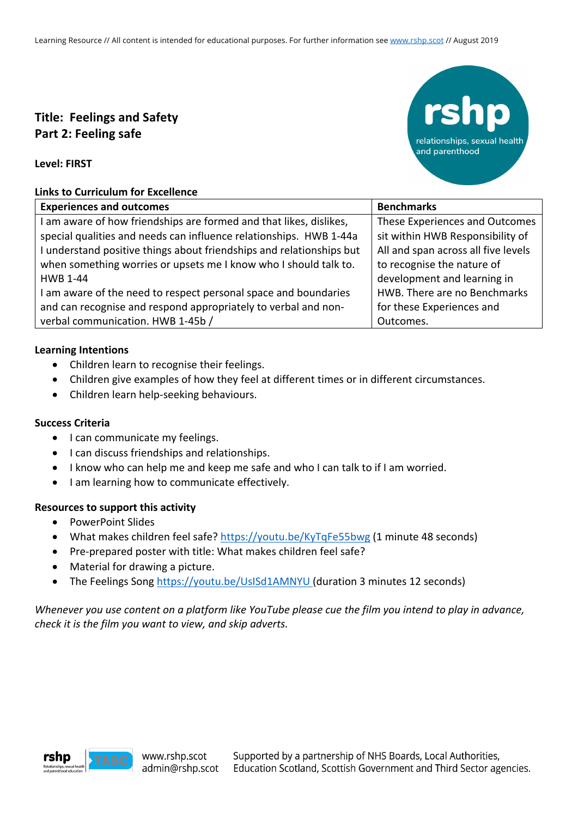# **Title: Feelings and Safety Part 2: Feeling safe**



**Level: FIRST**

### **Links to Curriculum for Excellence**

| <b>Experiences and outcomes</b>                                      | <b>Benchmarks</b>                   |
|----------------------------------------------------------------------|-------------------------------------|
| I am aware of how friendships are formed and that likes, dislikes,   | These Experiences and Outcomes      |
| special qualities and needs can influence relationships. HWB 1-44a   | sit within HWB Responsibility of    |
| I understand positive things about friendships and relationships but | All and span across all five levels |
| when something worries or upsets me I know who I should talk to.     | to recognise the nature of          |
| <b>HWB 1-44</b>                                                      | development and learning in         |
| I am aware of the need to respect personal space and boundaries      | HWB. There are no Benchmarks        |
| and can recognise and respond appropriately to verbal and non-       | for these Experiences and           |
| verbal communication. HWB 1-45b /                                    | Outcomes.                           |

# **Learning Intentions**

- Children learn to recognise their feelings.
- Children give examples of how they feel at different times or in different circumstances.
- Children learn help-seeking behaviours.

# **Success Criteria**

- I can communicate my feelings.
- I can discuss friendships and relationships.
- I know who can help me and keep me safe and who I can talk to if I am worried.
- I am learning how to communicate effectively.

# **Resources to support this activity**

- PowerPoint Slides
- What makes children feel safe? https://youtu.be/KyTqFe55bwg (1 minute 48 seconds)
- Pre-prepared poster with title: What makes children feel safe?
- Material for drawing a picture.
- The Feelings Song https://youtu.be/UsISd1AMNYU (duration 3 minutes 12 seconds)

# *Whenever you use content on a platform like YouTube please cue the film you intend to play in advance, check it is the film you want to view, and skip adverts.*

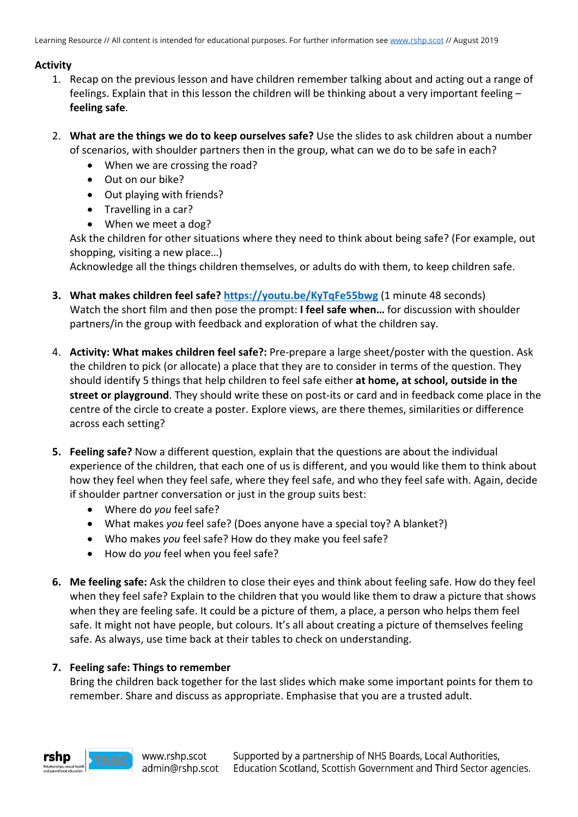# **Activity**

- 1. Recap on the previous lesson and have children remember talking about and acting out a range of feelings. Explain that in this lesson the children will be thinking about a very important feeling – **feeling safe**.
- 2. **What are the things we do to keep ourselves safe?** Use the slides to ask children about a number of scenarios, with shoulder partners then in the group, what can we do to be safe in each?
	- When we are crossing the road?
	- Out on our bike?
	- Out playing with friends?
	- Travelling in a car?
	- When we meet a dog?

Ask the children for other situations where they need to think about being safe? (For example, out shopping, visiting a new place…)

Acknowledge all the things children themselves, or adults do with them, to keep children safe.

- **3. What makes children feel safe? https://youtu.be/KyTqFe55bwg** (1 minute 48 seconds) Watch the short film and then pose the prompt: **I feel safe when…** for discussion with shoulder partners/in the group with feedback and exploration of what the children say.
- 4. **Activity: What makes children feel safe?:** Pre-prepare a large sheet/poster with the question. Ask the children to pick (or allocate) a place that they are to consider in terms of the question. They should identify 5 things that help children to feel safe either **at home, at school, outside in the street or playground**. They should write these on post-its or card and in feedback come place in the centre of the circle to create a poster. Explore views, are there themes, similarities or difference across each setting?
- **5. Feeling safe?** Now a different question, explain that the questions are about the individual experience of the children, that each one of us is different, and you would like them to think about how they feel when they feel safe, where they feel safe, and who they feel safe with. Again, decide if shoulder partner conversation or just in the group suits best:
	- Where do *you* feel safe?
	- What makes *you* feel safe? (Does anyone have a special toy? A blanket?)
	- Who makes *you* feel safe? How do they make you feel safe?
	- How do *you* feel when you feel safe?
- **6. Me feeling safe:** Ask the children to close their eyes and think about feeling safe. How do they feel when they feel safe? Explain to the children that you would like them to draw a picture that shows when they are feeling safe. It could be a picture of them, a place, a person who helps them feel safe. It might not have people, but colours. It's all about creating a picture of themselves feeling safe. As always, use time back at their tables to check on understanding.

# **7. Feeling safe: Things to remember**

Bring the children back together for the last slides which make some important points for them to remember. Share and discuss as appropriate. Emphasise that you are a trusted adult.

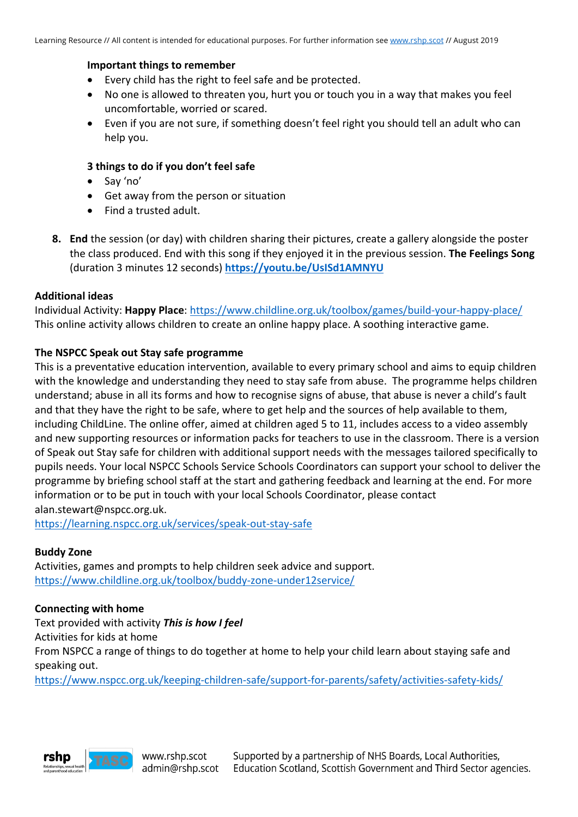#### **Important things to remember**

- Every child has the right to feel safe and be protected.
- No one is allowed to threaten you, hurt you or touch you in a way that makes you feel uncomfortable, worried or scared.
- Even if you are not sure, if something doesn't feel right you should tell an adult who can help you.

#### **3 things to do if you don't feel safe**

- Say 'no'
- Get away from the person or situation
- Find a trusted adult.
- **8. End** the session (or day) with children sharing their pictures, create a gallery alongside the poster the class produced. End with this song if they enjoyed it in the previous session. **The Feelings Song** (duration 3 minutes 12 seconds) **https://youtu.be/UsISd1AMNYU**

#### **Additional ideas**

Individual Activity: **Happy Place**: https://www.childline.org.uk/toolbox/games/build-your-happy-place/ This online activity allows children to create an online happy place. A soothing interactive game.

#### **The NSPCC Speak out Stay safe programme**

This is a preventative education intervention, available to every primary school and aims to equip children with the knowledge and understanding they need to stay safe from abuse. The programme helps children understand; abuse in all its forms and how to recognise signs of abuse, that abuse is never a child's fault and that they have the right to be safe, where to get help and the sources of help available to them, including ChildLine. The online offer, aimed at children aged 5 to 11, includes access to a video assembly and new supporting resources or information packs for teachers to use in the classroom. There is a version of Speak out Stay safe for children with additional support needs with the messages tailored specifically to pupils needs. Your local NSPCC Schools Service Schools Coordinators can support your school to deliver the programme by briefing school staff at the start and gathering feedback and learning at the end. For more information or to be put in touch with your local Schools Coordinator, please contact alan.stewart@nspcc.org.uk.

https://learning.nspcc.org.uk/services/speak-out-stay-safe

#### **Buddy Zone**

Activities, games and prompts to help children seek advice and support. https://www.childline.org.uk/toolbox/buddy-zone-under12service/

#### **Connecting with home**

Text provided with activity *This is how I feel* Activities for kids at home From NSPCC a range of things to do together at home to help your child learn about staying safe and speaking out.

https://www.nspcc.org.uk/keeping-children-safe/support-for-parents/safety/activities-safety-kids/